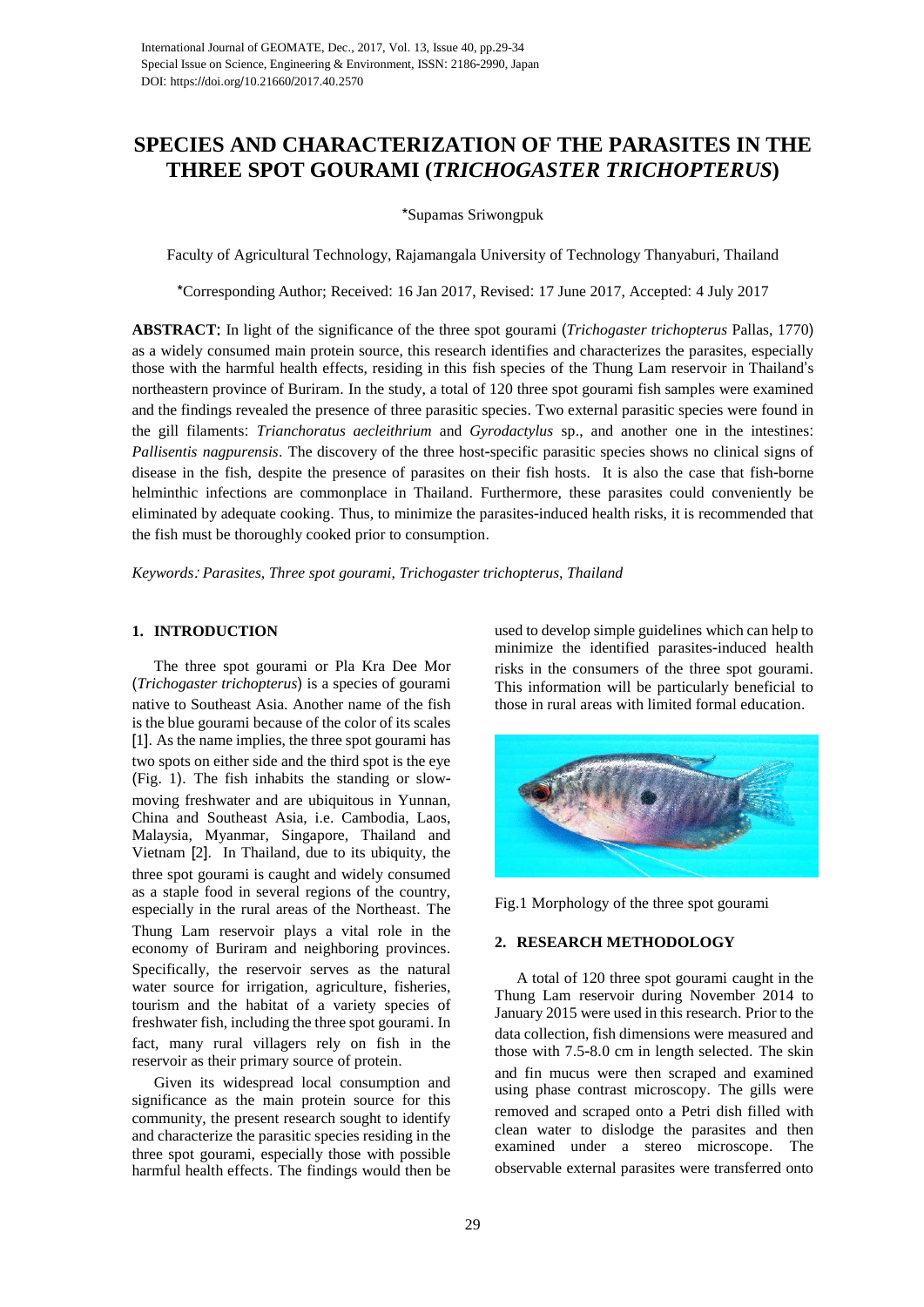# **SPECIES AND CHARACTERIZATION OF THE PARASITES IN THE THREE SPOT GOURAMI (***TRICHOGASTER TRICHOPTERUS***)**

\*Supamas Sriwongpuk

Faculty of Agricultural Technology, Rajamangala University of Technology Thanyaburi, Thailand

\*Corresponding Author; Received: 16 Jan 2017, Revised: 17 June 2017, Accepted: 4 July 2017

**ABSTRACT**: In light of the significance of the three spot gourami (*Trichogaster trichopterus* Pallas, 1770) as a widely consumed main protein source, this research identifies and characterizes the parasites, especially those with the harmful health effects, residing in this fish species of the Thung Lam reservoir in Thailand's northeastern province of Buriram. In the study, a total of 120 three spot gourami fish samples were examined and the findings revealed the presence of three parasitic species. Two external parasitic species were found in the gill filaments: *Trianchoratus aecleithrium* and *Gyrodactylus* sp., and another one in the intestines: *Pallisentis nagpurensis*. The discovery of the three host-specific parasitic species shows no clinical signs of disease in the fish, despite the presence of parasites on their fish hosts. It is also the case that fish-borne helminthic infections are commonplace in Thailand. Furthermore, these parasites could conveniently be eliminated by adequate cooking. Thus, to minimize the parasites-induced health risks, it is recommended that the fish must be thoroughly cooked prior to consumption.

*Keywords*: *Parasites, Three spot gourami, Trichogaster trichopterus, Thailand*

## **1. INTRODUCTION**

The three spot gourami or Pla Kra Dee Mor (*Trichogaster trichopterus*) is a species of gourami native to Southeast Asia. Another name of the fish is the blue gourami because of the color of its scales [1]. As the name implies, the three spot gourami has two spots on either side and the third spot is the eye (Fig. 1). The fish inhabits the standing or slowmoving freshwater and are ubiquitous in Yunnan, China and Southeast Asia, i.e. Cambodia, Laos, Malaysia, Myanmar, Singapore, Thailand and Vietnam [2]. In Thailand, due to its ubiquity, the three spot gourami is caught and widely consumed as a staple food in several regions of the country, especially in the rural areas of the Northeast. The Thung Lam reservoir plays a vital role in the economy of Buriram and neighboring provinces. Specifically, the reservoir serves as the natural water source for irrigation, agriculture, fisheries, tourism and the habitat of a variety species of freshwater fish, including the three spot gourami. In fact, many rural villagers rely on fish in the reservoir as their primary source of protein.

Given its widespread local consumption and significance as the main protein source for this community, the present research sought to identify and characterize the parasitic species residing in the three spot gourami, especially those with possible harmful health effects. The findings would then be

used to develop simple guidelines which can help to minimize the identified parasites-induced health risks in the consumers of the three spot gourami. This information will be particularly beneficial to those in rural areas with limited formal education.



Fig.1 Morphology of the three spot gourami

# **2. RESEARCH METHODOLOGY**

A total of 120 three spot gourami caught in the Thung Lam reservoir during November 2014 to January 2015 were used in this research. Prior to the data collection, fish dimensions were measured and those with 7.5-8.0 cm in length selected. The skin and fin mucus were then scraped and examined using phase contrast microscopy. The gills were removed and scraped onto a Petri dish filled with clean water to dislodge the parasites and then examined under a stereo microscope. The observable external parasites were transferred onto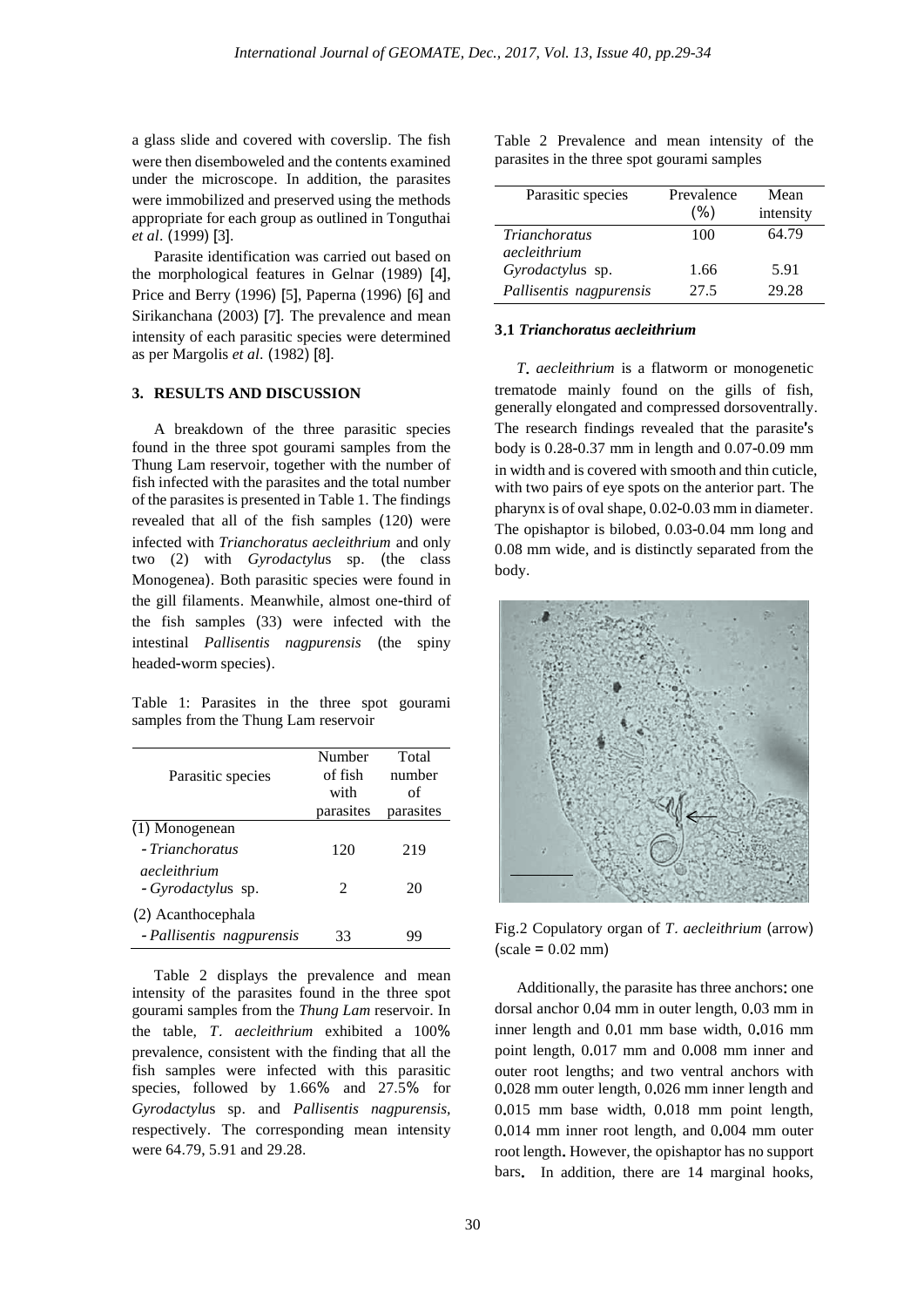a glass slide and covered with coverslip. The fish were then disemboweled and the contents examined under the microscope. In addition, the parasites were immobilized and preserved using the methods appropriate for each group as outlined in Tonguthai *et al*. (1999) [3].

Parasite identification was carried out based on the morphological features in Gelnar (1989) [4], Price and Berry (1996) [5], Paperna (1996) [6] and Sirikanchana (2003) [7]. The prevalence and mean intensity of each parasitic species were determined as per Margolis *et al*. (1982) [8].

## **3. RESULTS AND DISCUSSION**

A breakdown of the three parasitic species found in the three spot gourami samples from the Thung Lam reservoir, together with the number of fish infected with the parasites and the total number of the parasites is presented in Table 1. The findings revealed that all of the fish samples (120) were infected with *Trianchoratus aecleithrium* and only two (2) with *Gyrodactylu*s sp. (the class Monogenea). Both parasitic species were found in the gill filaments. Meanwhile, almost one-third of the fish samples (33) were infected with the intestinal *Pallisentis nagpurensis* (the spiny headed-worm species).

Table 1: Parasites in the three spot gourami samples from the Thung Lam reservoir

|                           | Number    | Total     |
|---------------------------|-----------|-----------|
| Parasitic species         | of fish   | number    |
|                           | with      | Ωf        |
|                           | parasites | parasites |
| (1) Monogenean            |           |           |
| - Trianchoratus           | 120       | 219       |
| aecleithrium              |           |           |
| - Gyrodactylus sp.        | 2         | 20        |
| (2) Acanthocephala        |           |           |
| - Pallisentis nagpurensis | 33        | gg        |

Table 2 displays the prevalence and mean intensity of the parasites found in the three spot gourami samples from the *Thung Lam* reservoir. In the table, *T*. *aecleithrium* exhibited a 100% prevalence, consistent with the finding that all the fish samples were infected with this parasitic species, followed by 1.66% and 27.5% for *Gyrodactylu*s sp. and *Pallisentis nagpurensis,*  respectively. The corresponding mean intensity were 64.79, 5.91 and 29.28.

Table 2 Prevalence and mean intensity of the parasites in the three spot gourami samples

| Parasitic species       | Prevalence<br>(%) | Mean<br>intensity |
|-------------------------|-------------------|-------------------|
| <i>Trianchoratus</i>    | 100               | 64.79             |
| aecleithrium            |                   |                   |
| Gyrodactylus sp.        | 1.66              | 5.91              |
| Pallisentis nagpurensis | 27.5              | 29.28             |

#### **3**.**1** *Trianchoratus aecleithrium*

*T*. *aecleithrium* is a flatworm or monogenetic trematode mainly found on the gills of fish, generally elongated and compressed dorsoventrally. The research findings revealed that the parasite's body is 0.28-0.37 mm in length and 0.07-0.09 mm in width and is covered with smooth and thin cuticle, with two pairs of eye spots on the anterior part. The pharynx is of oval shape, 0.02-0.03 mm in diameter. The opishaptor is bilobed, 0.03-0.04 mm long and 0.08 mm wide, and is distinctly separated from the body.



Fig.2 Copulatory organ of *T*. *aecleithrium* (arrow)  $(scale = 0.02 mm)$ 

Additionally, the parasite has three anchors: one dorsal anchor 0.04 mm in outer length, 0.03 mm in inner length and 0.01 mm base width, 0.016 mm point length, 0.017 mm and 0.008 mm inner and outer root lengths; and two ventral anchors with 0.028 mm outer length, 0.026 mm inner length and 0.015 mm base width, 0.018 mm point length, 0.014 mm inner root length, and 0.004 mm outer root length. However, the opishaptor has no support bars. In addition, there are 14 marginal hooks,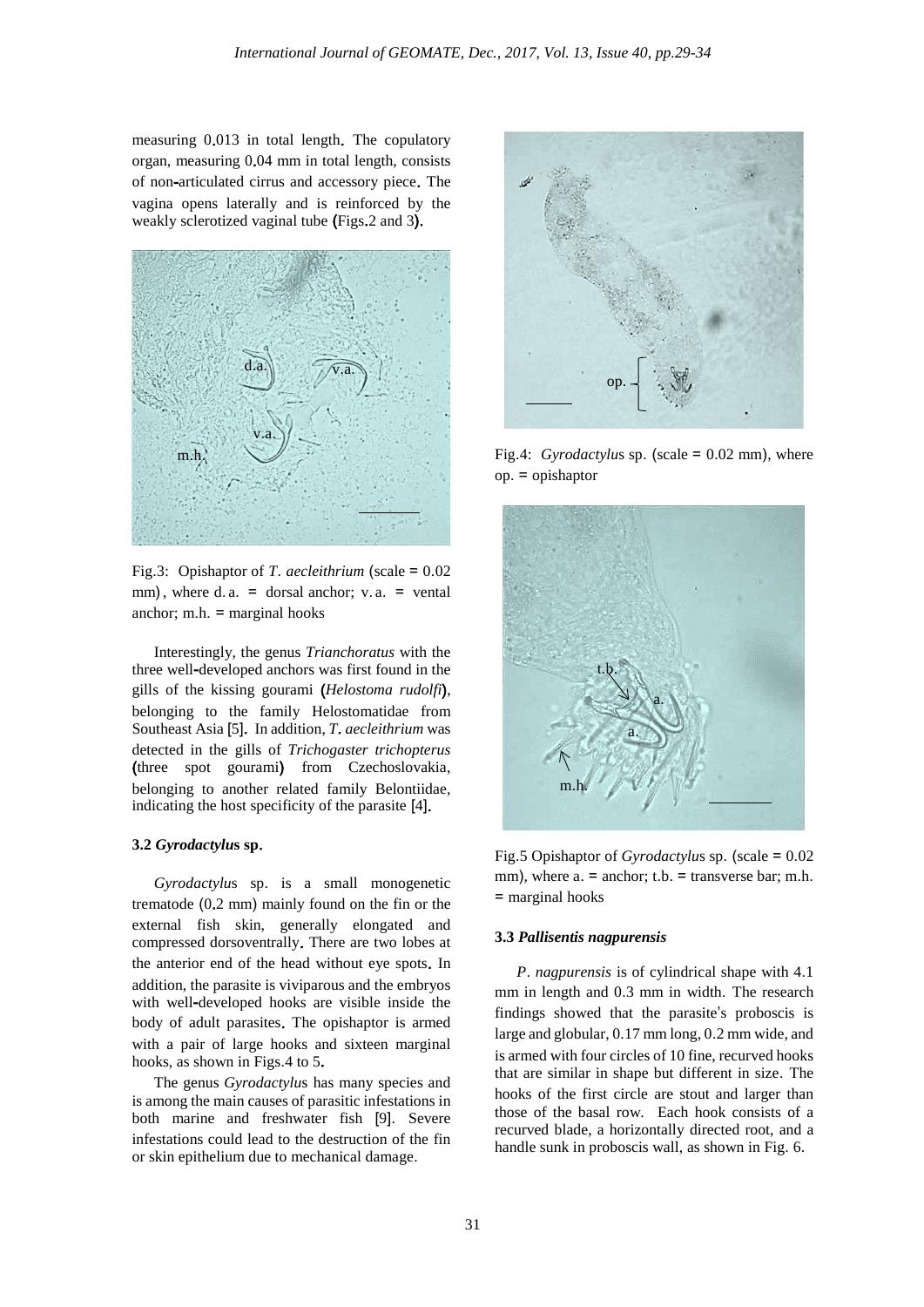measuring 0.013 in total length. The copulatory organ, measuring 0.04 mm in total length, consists of non-articulated cirrus and accessory piece. The vagina opens laterally and is reinforced by the weakly sclerotized vaginal tube (Figs.2 and 3).



Fig.3: Opishaptor of *T*. *aecleithrium* (scale = 0.02 mm), where d. a.  $=$  dorsal anchor; v. a.  $=$  vental anchor; m.h.  $=$  marginal hooks

Interestingly, the genus *Trianchoratus* with the three well-developed anchors was first found in the gills of the kissing gourami (*Helostoma rudolfi*), belonging to the family Helostomatidae from Southeast Asia [5]. In addition, *T*. *aecleithrium* was detected in the gills of *Trichogaster trichopterus*  (three spot gourami) from Czechoslovakia, belonging to another related family Belontiidae, indicating the host specificity of the parasite [4].

#### **3.2** *Gyrodactylu***s sp**.

*Gyrodactylu*s sp. is a small monogenetic trematode (0.2 mm) mainly found on the fin or the external fish skin, generally elongated and compressed dorsoventrally. There are two lobes at the anterior end of the head without eye spots. In addition, the parasite is viviparous and the embryos with well-developed hooks are visible inside the body of adult parasites. The opishaptor is armed with a pair of large hooks and sixteen marginal hooks, as shown in Figs.4 to 5.

The genus *Gyrodactylu*s has many species and is among the main causes of parasitic infestations in both marine and freshwater fish [9]. Severe infestations could lead to the destruction of the fin or skin epithelium due to mechanical damage.



Fig.4: *Gyrodactylu*s sp. (scale = 0.02 mm), where op. = opishaptor



Fig.5 Opishaptor of *Gyrodactylu*s sp. (scale = 0.02 mm), where a. = anchor; t.b. = transverse bar; m.h. = marginal hooks

#### **3.3** *Pallisentis nagpurensis*

*P*. *nagpurensis* is of cylindrical shape with 4.1 mm in length and 0.3 mm in width. The research findings showed that the parasite's proboscis is large and globular, 0.17 mm long, 0.2 mm wide, and is armed with four circles of 10 fine, recurved hooks that are similar in shape but different in size. The hooks of the first circle are stout and larger than those of the basal row. Each hook consists of a recurved blade, a horizontally directed root, and a handle sunk in proboscis wall, as shown in Fig. 6.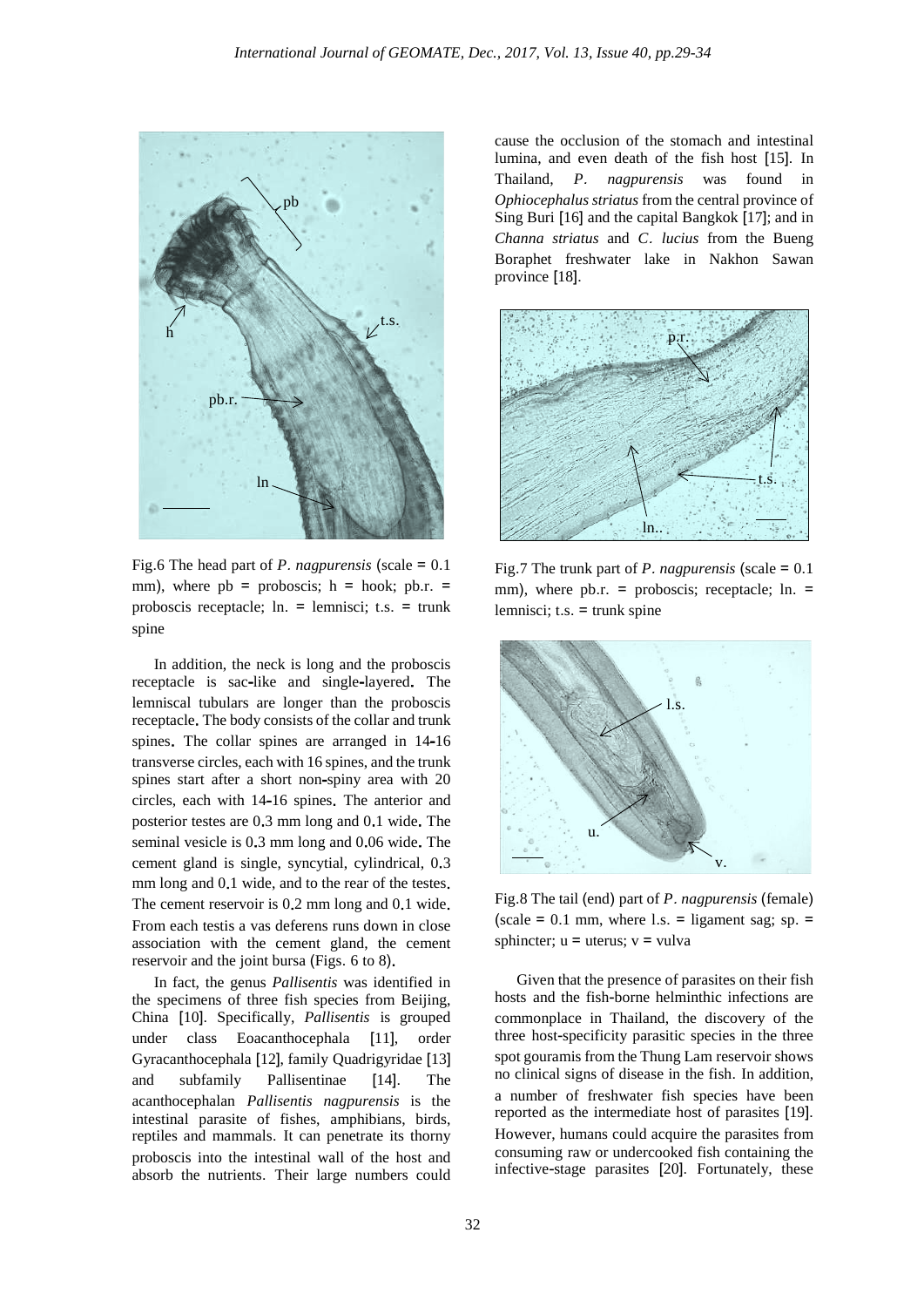

Fig.6 The head part of *P*. *nagpurensis* (scale = 0.1 mm), where  $pb =$  proboscis;  $h =$  hook;  $pb.r. =$ proboscis receptacle; ln. = lemnisci; t.s. = trunk spine

In addition, the neck is long and the proboscis receptacle is sac-like and single-layered. The lemniscal tubulars are longer than the proboscis receptacle. The body consists of the collar and trunk spines. The collar spines are arranged in 14-16 transverse circles, each with 16 spines, and the trunk spines start after a short non-spiny area with 20 circles, each with 14-16 spines. The anterior and posterior testes are 0.3 mm long and 0.1 wide. The seminal vesicle is 0.3 mm long and 0.06 wide. The cement gland is single, syncytial, cylindrical, 0.3 mm long and 0.1 wide, and to the rear of the testes. The cement reservoir is 0.2 mm long and 0.1 wide. From each testis a vas deferens runs down in close association with the cement gland, the cement reservoir and the joint bursa (Figs. 6 to 8).

In fact, the genus *Pallisentis* was identified in the specimens of three fish species from Beijing, China [10]. Specifically, *Pallisentis* is grouped under class Eoacanthocephala [11], order Gyracanthocephala [12], family Quadrigyridae [13] and subfamily Pallisentinae [14]. The acanthocephalan *Pallisentis nagpurensis* is the intestinal parasite of fishes, amphibians, birds, reptiles and mammals. It can penetrate its thorny proboscis into the intestinal wall of the host and absorb the nutrients. Their large numbers could

cause the occlusion of the stomach and intestinal lumina, and even death of the fish host [15]. In Thailand, *P*. *nagpurensis* was found in *Ophiocephalus striatus* from the central province of Sing Buri [16] and the capital Bangkok [17]; and in *Channa striatus* and *C*. *lucius* from the Bueng Boraphet freshwater lake in Nakhon Sawan province [18].



Fig.7 The trunk part of *P*. *nagpurensis* (scale = 0.1 mm), where pb.r. = proboscis; receptacle; ln. = lemnisci; t.s.  $=$  trunk spine



Fig.8 The tail (end) part of *P*. *nagpurensis* (female) (scale =  $0.1$  mm, where l.s. = ligament sag; sp. = sphincter;  $u =$  uterus;  $v =$  vulva

Given that the presence of parasites on their fish hosts and the fish-borne helminthic infections are commonplace in Thailand, the discovery of the three host-specificity parasitic species in the three spot gouramis from the Thung Lam reservoir shows no clinical signs of disease in the fish. In addition, a number of freshwater fish species have been reported as the intermediate host of parasites [19]. However, humans could acquire the parasites from consuming raw or undercooked fish containing the infective-stage parasites [20]. Fortunately, these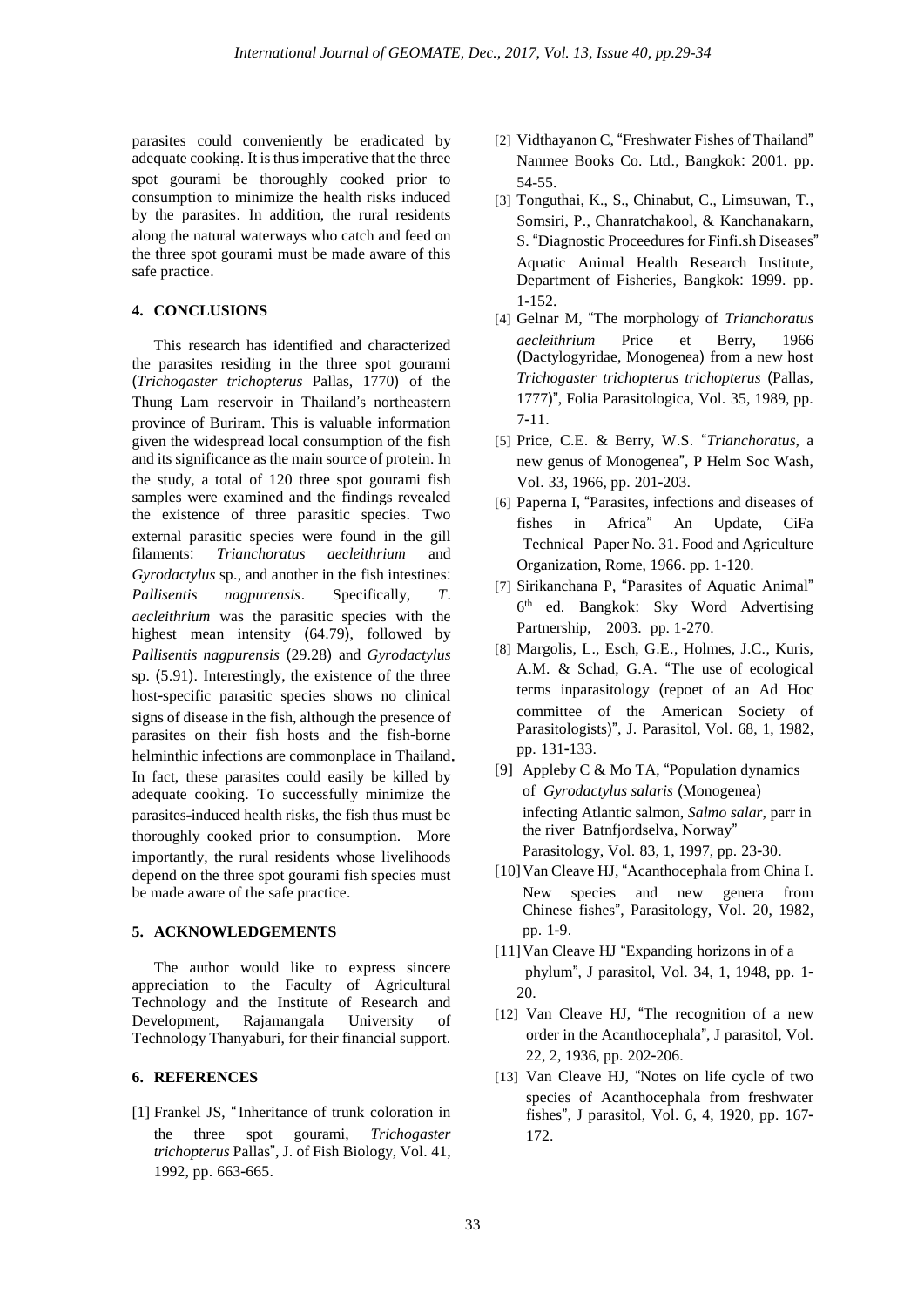parasites could conveniently be eradicated by adequate cooking. It is thus imperative that the three spot gourami be thoroughly cooked prior to consumption to minimize the health risks induced by the parasites. In addition, the rural residents along the natural waterways who catch and feed on the three spot gourami must be made aware of this safe practice.

## **4. CONCLUSIONS**

This research has identified and characterized the parasites residing in the three spot gourami (*Trichogaster trichopterus* Pallas, 1770) of the Thung Lam reservoir in Thailand's northeastern province of Buriram. This is valuable information given the widespread local consumption of the fish and its significance as the main source of protein. In the study, a total of 120 three spot gourami fish samples were examined and the findings revealed the existence of three parasitic species. Two external parasitic species were found in the gill<br>filaments: Trianchoratus aecleithrium and  $Trianchoratus$ *Gyrodactylus* sp., and another in the fish intestines: *Pallisentis nagpurensis*. Specifically, *T*. *aecleithrium* was the parasitic species with the highest mean intensity (64.79), followed by *Pallisentis nagpurensis* (29.28) and *Gyrodactylus*  sp. (5.91). Interestingly, the existence of the three host-specific parasitic species shows no clinical signs of disease in the fish, although the presence of parasites on their fish hosts and the fish-borne helminthic infections are commonplace in Thailand. In fact, these parasites could easily be killed by adequate cooking. To successfully minimize the parasites-induced health risks, the fish thus must be thoroughly cooked prior to consumption. More importantly, the rural residents whose livelihoods depend on the three spot gourami fish species must be made aware of the safe practice.

### **5. ACKNOWLEDGEMENTS**

The author would like to express sincere appreciation to the Faculty of Agricultural Technology and the Institute of Research and Development, Rajamangala University of Technology Thanyaburi, for their financial support.

# **6. REFERENCES**

[1] Frankel JS, "Inheritance of trunk coloration in the three spot gourami, *Trichogaster trichopterus* Pallas", J. of Fish Biology, Vol. 41, 1992, pp. 663-665.

- [2] Vidthayanon C, "Freshwater Fishes of Thailand" Nanmee Books Co. Ltd., Bangkok: 2001. pp. 54-55.
- [3] Tonguthai, K., S., Chinabut, C., Limsuwan, T., Somsiri, P., Chanratchakool, & Kanchanakarn, S. "Diagnostic Proceedures for Finfi.sh Diseases" Aquatic Animal Health Research Institute, Department of Fisheries, Bangkok: 1999. pp. 1-152.
- [4] Gelnar M, "The morphology of *Trianchoratus aecleithrium* Price et Berry, 1966 (Dactylogyridae, Monogenea) from a new host *Trichogaster trichopterus trichopterus* (Pallas, 1777)", Folia Parasitologica, Vol. 35, 1989, pp. 7-11.
- [5] Price, C.E. & Berry, W.S. "*Trianchoratus*, a new genus of Monogenea", P Helm Soc Wash, Vol. 33, 1966, pp. 201-203.
- [6] Paperna I, "Parasites, infections and diseases of fishes in Africa" An Update, CiFa Technical Paper No. 31. Food and Agriculture Organization, Rome, 1966. pp. 1-120.
- [7] Sirikanchana P, "Parasites of Aquatic Animal" 6th ed. Bangkok: Sky Word Advertising Partnership, 2003. pp. 1-270.
- [8] Margolis, L., Esch, G.E., Holmes, J.C., Kuris, A.M. & Schad, G.A. "The use of ecological terms inparasitology (repoet of an Ad Hoc committee of the American Society of Parasitologists)", J. Parasitol, Vol. 68, 1, 1982, pp. 131-133.
- [9] Appleby C & Mo TA, "Population dynamics of *Gyrodactylus salaris* (Monogenea) infecting Atlantic salmon, *Salmo salar*, parr in the river Batnfjordselva, Norway" Parasitology, Vol. 83, 1, 1997, pp. 23-30.
- [10]Van Cleave HJ, "Acanthocephala from China I. New species and new genera from Chinese fishes", Parasitology, Vol. 20, 1982, pp. 1-9.
- [11]Van Cleave HJ "Expanding horizons in of a phylum", J parasitol, Vol. 34, 1, 1948, pp. 1- 20.
- [12] Van Cleave HJ, "The recognition of a new order in the Acanthocephala", J parasitol, Vol. 22, 2, 1936, pp. 202-206.
- [13] Van Cleave HJ, "Notes on life cycle of two species of Acanthocephala from freshwater fishes", J parasitol, Vol. 6, 4, 1920, pp. 167- 172.